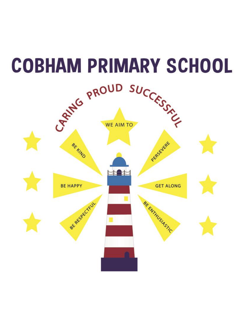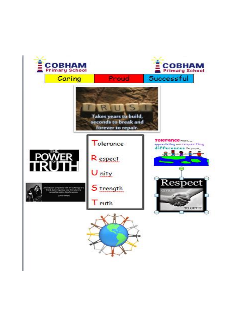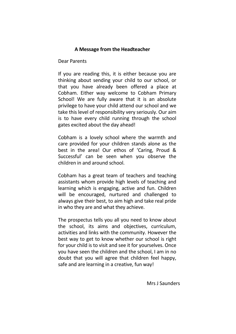## **A Message from the Headteacher**

Dear Parents

If you are reading this, it is either because you are thinking about sending your child to our school, or that you have already been offered a place at Cobham. Either way welcome to Cobham Primary School! We are fully aware that it is an absolute privilege to have your child attend our school and we take this level of responsibility very seriously. Our aim is to have every child running through the school gates excited about the day ahead!

Cobham is a lovely school where the warmth and care provided for your children stands alone as the best in the area! Our ethos of 'Caring, Proud & Successful' can be seen when you observe the children in and around school.

Cobham has a great team of teachers and teaching assistants whom provide high levels of teaching and learning which is engaging, active and fun. Children will be encouraged, nurtured and challenged to always give their best, to aim high and take real pride in who they are and what they achieve.

The prospectus tells you all you need to know about the school, its aims and objectives, curriculum, activities and links with the community. However the best way to get to know whether our school is right for your child is to visit and see it for yourselves. Once you have seen the children and the school, I am in no doubt that you will agree that children feel happy, safe and are learning in a creative, fun way!

Mrs J Saunders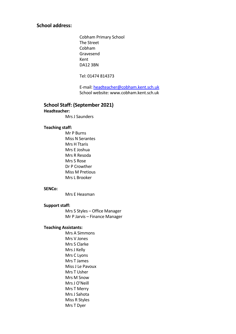## **School address:**

 Cobham Primary School The Street Cobham Gravesend Kent DA12 3BN

Tel: 01474 814373

 E-mail: [headteacher@cobham.kent.sch.uk](mailto:headteacher@cobham.kent.sch.uk) School website: www.cobham.kent.sch.uk

#### **School Staff: (September 2021)**

### **Headteacher:**

Mrs J Saunders

#### **Teaching staff:**

 Mr P Burns Miss N Serantes Mrs H Ttaris Mrs E Joshua Mrs R Resoda Mrs S Rose Dr P Crowther Miss M Pretious Mrs L Brooker

#### **SENCo:**

Mrs E Heasman

#### **Support staff:**

 Mrs S Styles – Office Manager Mr P Jarvis – Finance Manager

#### **Teaching Assistants:**

 Mrs A Simmons Mrs V Jones Mrs S Clarke Mrs J Kelly Mrs C Lyons Mrs T James Miss J Le Pavoux Mrs T Usher Mrs M Snow Mrs J O'Neill Mrs T Merry Mrs J Sahota Miss R Styles Mrs T Dyer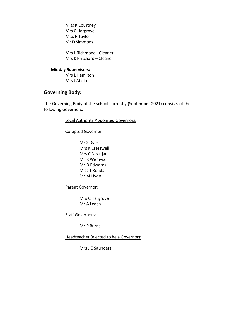Miss K Courtney Mrs C Hargrove Miss R Taylor Mr D Simmons

 Mrs L Richmond - Cleaner Mrs K Pritchard – Cleaner

#### **Midday Supervisors:**

 Mrs L Hamilton Mrs J Abela

# **Governing Body:**

The Governing Body of the school currently (September 2021) consists of the following Governors:

#### Local Authority Appointed Governors:

Co-opted Governor

 Mr S Dyer Mrs K Cresswell Mrs C Niranjan Mr R Wemyss Mr D Edwards Miss T Rendall Mr M Hyde

Parent Governor:

 Mrs C Hargrove Mr A Leach

**Staff Governors:** 

Mr P Burns

Headteacher (elected to be a Governor):

Mrs J C Saunders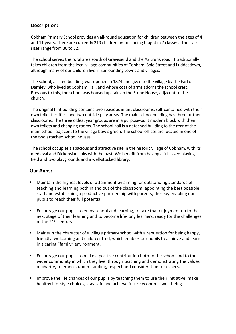# **Description:**

Cobham Primary School provides an all-round education for children between the ages of 4 and 11 years. There are currently 219 children on roll, being taught in 7 classes. The class sizes range from 30 to 32.

The school serves the rural area south of Gravesend and the A2 trunk road. It traditionally takes children from the local village communities of Cobham, Sole Street and Luddesdown, although many of our children live in surrounding towns and villages.

The school, a listed building, was opened in 1874 and given to the village by the Earl of Darnley, who lived at Cobham Hall, and whose coat of arms adorns the school crest. Previous to this, the school was housed upstairs in the Stone House, adjacent to the church.

The original flint building contains two spacious infant classrooms, self-contained with their own toilet facilities, and two outside play areas. The main school building has three further classrooms. The three oldest year groups are in a purpose-built modern block with their own toilets and changing rooms. The school hall is a detached building to the rear of the main school, adjacent to the village bowls green. The school offices are located in one of the two attached school houses.

The school occupies a spacious and attractive site in the historic village of Cobham, with its medieval and Dickensian links with the past. We benefit from having a full-sized playing field and two playgrounds and a well-stocked library.

## **Our Aims:**

- Maintain the highest levels of attainment by aiming for outstanding standards of teaching and learning both in and out of the classroom, appointing the best possible staff and establishing a productive partnership with parents, thereby enabling our pupils to reach their full potential.
- Encourage our pupils to enjoy school and learning, to take that enjoyment on to the next stage of their learning and to become life-long learners, ready for the challenges of the 21<sup>st</sup> century.
- Maintain the character of a village primary school with a reputation for being happy, friendly, welcoming and child-centred, which enables our pupils to achieve and learn in a caring "family" environment.
- Encourage our pupils to make a positive contribution both to the school and to the wider community in which they live, through teaching and demonstrating the values of charity, tolerance, understanding, respect and consideration for others.
- **■** Improve the life chances of our pupils by teaching them to use their initiative, make healthy life-style choices, stay safe and achieve future economic well-being.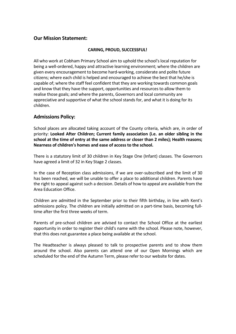## **Our Mission Statement:**

### **CARING, PROUD, SUCCESSFUL!**

All who work at Cobham Primary School aim to uphold the school's local reputation for being a well-ordered, happy and attractive learning environment; where the children are given every encouragement to become hard-working, considerate and polite future citizens; where each child is helped and encouraged to achieve the best that he/she is capable of; where the staff feel confident that they are working towards common goals and know that they have the support, opportunities and resources to allow them to realise those goals; and where the parents, Governors and local community are appreciative and supportive of what the school stands for, and what it is doing for its children.

## **Admissions Policy:**

School places are allocated taking account of the County criteria, which are, in order of priority: **Looked After Children; Current family association (i.e. an older sibling in the school at the time of entry at the same address or closer than 2 miles); Health reasons; Nearness of children's homes and ease of access to the school.** 

There is a statutory limit of 30 children in Key Stage One (Infant) classes. The Governors have agreed a limit of 32 in Key Stage 2 classes.

In the case of Reception class admissions, if we are over-subscribed and the limit of 30 has been reached, we will be unable to offer a place to additional children. Parents have the right to appeal against such a decision. Details of how to appeal are available from the Area Education Office.

Children are admitted in the September prior to their fifth birthday, in line with Kent's admissions policy. The children are initially admitted on a part-time basis, becoming fulltime after the first three weeks of term.

Parents of pre-school children are advised to contact the School Office at the earliest opportunity in order to register their child's name with the school. Please note, however, that this does not guarantee a place being available at the school.

The Headteacher is always pleased to talk to prospective parents and to show them around the school. Also parents can attend one of our Open Mornings which are scheduled for the end of the Autumn Term, please refer to our website for dates.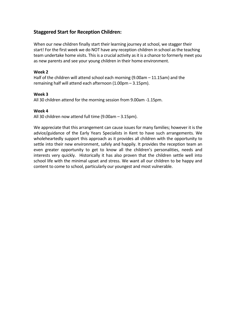# **Staggered Start for Reception Children:**

When our new children finally start their learning journey at school, we stagger their start! For the first week we do NOT have any reception children in school as the teaching team undertake home visits. This is a crucial activity as it is a chance to formerly meet you as new parents and see your young children in their home environment.

#### **Week 2**

Half of the children will attend school each morning (9.00am – 11.15am) and the remaining half will attend each afternoon (1.00pm – 3.15pm).

#### **Week 3**

All 30 children attend for the morning session from 9.00am -1.15pm.

### **Week 4**

All 30 children now attend full time (9.00am – 3.15pm).

We appreciate that this arrangement can cause issues for many families; however it is the advice/guidance of the Early Years Specialists in Kent to have such arrangements. We wholeheartedly support this approach as it provides all children with the opportunity to settle into their new environment, safely and happily. It provides the reception team an even greater opportunity to get to know all the children's personalities, needs and interests very quickly. Historically it has also proven that the children settle well into school life with the minimal upset and stress. We want all our children to be happy and content to come to school, particularly our youngest and most vulnerable.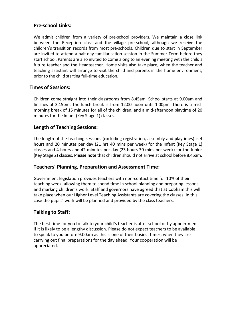# **Pre-school Links:**

We admit children from a variety of pre-school providers. We maintain a close link between the Reception class and the village pre-school, although we receive the children's transition records from most pre-schools. Children due to start in September are invited to attend a half-day familiarisation session in the Summer Term before they start school. Parents are also invited to come along to an evening meeting with the child's future teacher and the Headteacher. Home visits also take place, when the teacher and teaching assistant will arrange to visit the child and parents in the home environment, prior to the child starting full-time education.

# **Times of Sessions:**

Children come straight into their classrooms from 8.45am. School starts at 9.00am and finishes at 3.15pm. The lunch break is from 12.00 noon until 1.00pm. There is a midmorning break of 15 minutes for all of the children, and a mid-afternoon playtime of 20 minutes for the Infant (Key Stage 1) classes.

## **Length of Teaching Sessions:**

The length of the teaching sessions (excluding registration, assembly and playtimes) is 4 hours and 20 minutes per day (21 hrs 40 mins per week) for the Infant (Key Stage 1) classes and 4 hours and 42 minutes per day (23 hours 30 mins per week) for the Junior (Key Stage 2) classes. **Please note** that children should not arrive at school before 8.45am.

## **Teachers' Planning, Preparation and Assessment Time:**

Government legislation provides teachers with non-contact time for 10% of their teaching week, allowing them to spend time in school planning and preparing lessons and marking children's work. Staff and governors have agreed that at Cobham this will take place when our Higher Level Teaching Assistants are covering the classes. In this case the pupils' work will be planned and provided by the class teachers.

## **Talking to Staff:**

The best time for you to talk to your child's teacher is after school or by appointment if it is likely to be a lengthy discussion. Please do not expect teachers to be available to speak to you before 9.00am as this is one of their busiest times, when they are carrying out final preparations for the day ahead. Your cooperation will be appreciated.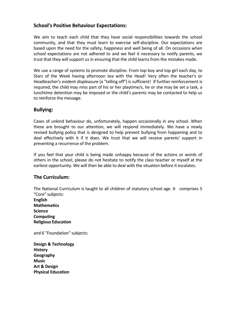## **School's Positive Behaviour Expectations:**

We aim to teach each child that they have social responsibilities towards the school community, and that they must learn to exercise self-discipline. Our expectations are based upon the need for the safety, happiness and well being of all. On occasions when school expectations are not adhered to and we feel it necessary to notify parents, we trust that they will support us in ensuring that the child learns from the mistakes made.

We use a range of systems to promote discipline. From top boy and top girl each day, to Stars of the Week having afternoon tea with the Head! Very often the teacher's or Headteacher's evident displeasure (a "telling off") is sufficient! If further reinforcement is required, the child may miss part of his or her playtime/s, he or she may be set a task, a lunchtime detention may be imposed or the child's parents may be contacted to help us to reinforce the message.

## **Bullying:**

Cases of unkind behaviour do, unfortunately, happen occasionally in any school. When these are brought to our attention, we will respond immediately. We have a newly revised bullying policy that is designed to help prevent bullying from happening and to deal effectively with it if it does. We trust that we will receive parents' support in preventing a recurrence of the problem.

If you feel that your child is being made unhappy because of the actions or words of others in the school, please do not hesitate to notify the class teacher or myself at the earliest opportunity. We will then be able to deal with the situation before it escalates.

## **The Curriculum:**

The National Curriculum is taught to all children of statutory school age. It comprises 5 "Core" subjects:

**English Mathematics Science Computing Religious Education**

and 6 "Foundation" subjects:

**Design & Technology History Geography Music Art & Design Physical Education**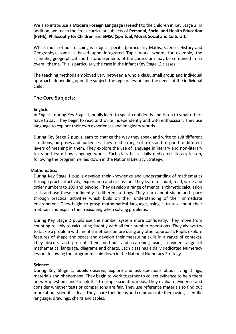We also introduce a **Modern Foreign Language (French)** to the children in Key Stage 2. In addition, we teach the cross-curricular subjects of **Personal, Social and Health Education (PSHE), Philosophy for Children** and **SMSC (Spiritual, Moral, Social and Cultural)**.

Whilst much of our teaching is subject-specific (particularly Maths, Science, History and Geography), some is based upon integrated Topic work, where, for example, the scientific, geographical and historic elements of the curriculum may be combined in an overall theme. This is particularly the case in the Infant (Key Stage 1) classes.

The teaching methods employed vary between a whole class, small group and individual approach, depending upon the subject, the type of lesson and the needs of the individual child.

## **The Core Subjects:**

### **English:**

In English, during Key Stage 1, pupils learn to speak confidently and listen to what others have to say. They begin to read and write independently and with enthusiasm. They use language to explore their own experiences and imaginary worlds.

During Key Stage 2 pupils learn to change the way they speak and write to suit different situations, purposes and audiences. They read a range of texts and respond to different layers of meaning in them. They explore the use of language in literary and non-literary texts and learn how language works. Each class has a daily dedicated literacy lesson, following the programme laid down in the National Literacy Strategy.

#### **Mathematics:**

During Key Stage 1 pupils develop their knowledge and understanding of mathematics through practical activity, exploration and discussion. They learn to count, read, write and order numbers to 100 and beyond. They develop a range of mental arithmetic calculation skills and use these confidently in different settings. They learn about shape and space through practical activities which build on their understanding of their immediate environment. They begin to grasp mathematical language, using it to talk about their methods and explain their reasoning when solving problems.

During Key Stage 2 pupils use the number system more confidently. They move from counting reliably to calculating fluently with all four number operations. They always try to tackle a problem with mental methods before using any other approach. Pupils explore features of shape and space and develop their measuring skills in a range of contexts. They discuss and present their methods and reasoning using a wider range of mathematical language, diagrams and charts. Each class has a daily dedicated Numeracy lesson, following the programme laid down in the National Numeracy Strategy.

#### **Science:**

During Key Stage 1, pupils observe, explore and ask questions about living things, materials and phenomena. They begin to work together to collect evidence to help them answer questions and to link this to simple scientific ideas. They evaluate evidence and consider whether tests or comparisons are fair. They use reference materials to find out more about scientific ideas. They share their ideas and communicate them using scientific language, drawings, charts and tables.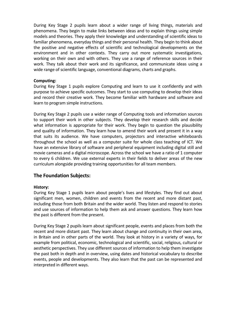During Key Stage 2 pupils learn about a wider range of living things, materials and phenomena. They begin to make links between ideas and to explain things using simple models and theories. They apply their knowledge and understanding of scientific ideas to familiar phenomena, everyday things and their personal health. They begin to think about the positive and negative effects of scientific and technological developments on the environment and in other contexts. They carry out more systematic investigations, working on their own and with others. They use a range of reference sources in their work. They talk about their work and its significance, and communicate ideas using a wide range of scientific language, conventional diagrams, charts and graphs.

#### **Computing:**

During Key Stage 1 pupils explore Computing and learn to use it confidently and with purpose to achieve specific outcomes. They start to use computing to develop their ideas and record their creative work. They become familiar with hardware and software and learn to program simple instructions.

During Key Stage 2 pupils use a wider range of Computing tools and information sources to support their work in other subjects. They develop their research skills and decide what information is appropriate for their work. They begin to question the plausibility and quality of information. They learn how to amend their work and present it in a way that suits its audience. We have computers, projectors and interactive whiteboards throughout the school as well as a computer suite for whole class teaching of ICT. We have an extensive library of software and peripheral equipment including digital still and movie cameras and a digital microscope. Across the school we have a ratio of 1 computer to every 6 children. We use external experts in their fields to deliver areas of the new curriculum alongside providing training opportunities for all team members.

## **The Foundation Subjects:**

### **History:**

During Key Stage 1 pupils learn about people's lives and lifestyles. They find out about significant men, women, children and events from the recent and more distant past, including those from both Britain and the wider world. They listen and respond to stories and use sources of information to help them ask and answer questions. They learn how the past is different from the present.

During Key Stage 2 pupils learn about significant people, events and places from both the recent and more distant past. They learn about change and continuity in their own area, in Britain and in other parts of the world. They look at history in a variety of ways, for example from political, economic, technological and scientific, social, religious, cultural or aesthetic perspectives. They use different sources of information to help them investigate the past both in depth and in overview, using dates and historical vocabulary to describe events, people and developments. They also learn that the past can be represented and interpreted in different ways.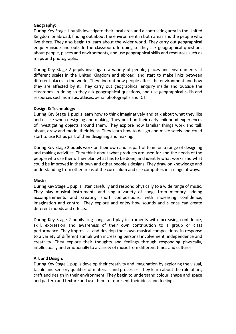#### **Geography:**

During Key Stage 1 pupils investigate their local area and a contrasting area in the United Kingdom or abroad, finding out about the environment in both areas and the people who live there. They also begin to learn about the wider world. They carry out geographical enquiry inside and outside the classroom. In doing so they ask geographical questions about people, places and environments, and use geographical skills and resources such as maps and photographs.

During Key Stage 2 pupils investigate a variety of people, places and environments at different scales in the United Kingdom and abroad, and start to make links between different places in the world. They find out how people affect the environment and how they are affected by it. They carry out geographical enquiry inside and outside the classroom. In doing so they ask geographical questions, and use geographical skills and resources such as maps, atlases, aerial photographs and ICT.

### **Design & Technology:**

During Key Stage 1 pupils learn how to think imaginatively and talk about what they like and dislike when designing and making. They build on their early childhood experiences of investigating objects around them. They explore how familiar things work and talk about, draw and model their ideas. They learn how to design and make safely and could start to use ICT as part of their designing and making.

During Key Stage 2 pupils work on their own and as part of team on a range of designing and making activities. They think about what products are used for and the needs of the people who use them. They plan what has to be done, and identify what works and what could be improved in their own and other people's designs. They draw on knowledge and understanding from other areas of the curriculum and use computers in a range of ways.

#### **Music:**

During Key Stage 1 pupils listen carefully and respond physically to a wide range of music. They play musical instruments and sing a variety of songs from memory, adding accompaniments and creating short compositions, with increasing confidence, imagination and control. They explore and enjoy how sounds and silence can create different moods and effects.

During Key Stage 2 pupils sing songs and play instruments with increasing confidence, skill, expression and awareness of their own contribution to a group or class performance. They improvise, and develop their own musical compositions, in response to a variety of different stimuli with increasing personal involvement, independence and creativity. They explore their thoughts and feelings through responding physically, intellectually and emotionally to a variety of music from different times and cultures.

#### **Art and Design:**

During Key Stage 1 pupils develop their creativity and imagination by exploring the visual, tactile and sensory qualities of materials and processes. They learn about the role of art, craft and design in their environment. They begin to understand colour, shape and space and pattern and texture and use them to represent their ideas and feelings.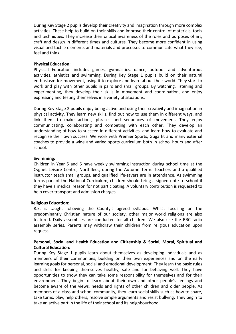During Key Stage 2 pupils develop their creativity and imagination through more complex activities. These help to build on their skills and improve their control of materials, tools and techniques. They increase their critical awareness of the roles and purposes of art, craft and design in different times and cultures. They become more confident in using visual and tactile elements and materials and processes to communicate what they see, feel and think.

#### **Physical Education:**

Physical Education includes games, gymnastics, dance, outdoor and adventurous activities, athletics and swimming. During Key Stage 1 pupils build on their natural enthusiasm for movement, using it to explore and learn about their world. They start to work and play with other pupils in pairs and small groups. By watching, listening and experimenting, they develop their skills in movement and coordination, and enjoy expressing and testing themselves in a variety of situations.

During Key Stage 2 pupils enjoy being active and using their creativity and imagination in physical activity. They learn new skills, find out how to use them in different ways, and link them to make actions, phrases and sequences of movement. They enjoy communicating, collaborating and competing with each other. They develop an understanding of how to succeed in different activities, and learn how to evaluate and recognise their own success. We work with Premier Sports, Guga fit and many external coaches to provide a wide and varied sports curriculum both in school hours and after school.

#### **Swimming:**

Children in Year 5 and 6 have weekly swimming instruction during school time at the Cygnet Leisure Centre, Northfleet, during the Autumn Term. Teachers and a qualified instructor teach small groups, and qualified life-savers are in attendance. As swimming forms part of the National Curriculum, children should bring a signed note to school if they have a medical reason for not participating. A voluntary contribution is requested to help cover transport and admission charges.

#### **Religious Education:**

R.E. is taught following the County's agreed syllabus. Whilst focusing on the predominantly Christian nature of our society, other major world religions are also featured. Daily assemblies are conducted for all children. We also use the BBC radio assembly series. Parents may withdraw their children from religious education upon request.

### **Personal, Social and Health Education and Citizenship & Social, Moral, Spiritual and Cultural Education:**

During Key Stage 1 pupils learn about themselves as developing individuals and as members of their communities, building on their own experiences and on the early learning goals for personal, social and emotional development. They learn the basic rules and skills for keeping themselves healthy, safe and for behaving well. They have opportunities to show they can take some responsibility for themselves and for their environment. They begin to learn about their own and other people's feelings and become aware of the views, needs and rights of other children and older people. As members of a class and school community, they learn social skills such as how to share, take turns, play, help others, resolve simple arguments and resist bullying. They begin to take an active part in the life of their school and its neighbourhood.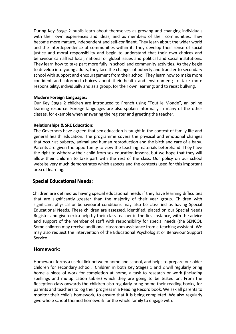During Key Stage 2 pupils learn about themselves as growing and changing individuals with their own experiences and ideas, and as members of their communities. They become more mature, independent and self-confident. They learn about the wider world and the interdependence of communities within it. They develop their sense of social justice and moral responsibility and begin to understand that their own choices and behaviour can affect local, national or global issues and political and social institutions. They learn how to take part more fully in school and community activities. As they begin to develop into young adults, they face the changes of puberty and transfer to secondary school with support and encouragement from their school. They learn how to make more confident and informed choices about their health and environment; to take more responsibility, individually and as a group, for their own learning; and to resist bullying.

#### **Modern Foreign Languages:**

Our Key Stage 2 children are introduced to French using "Tout le Monde", an online learning resource. Foreign languages are also spoken informally in many of the other classes, for example when answering the register and greeting the teacher.

### **Relationships & SRE Education:**

The Governors have agreed that sex education is taught in the context of family life and general health education. The programme covers the physical and emotional changes that occur at puberty, animal and human reproduction and the birth and care of a baby. Parents are given the opportunity to view the teaching materials beforehand. They have the right to withdraw their child from sex education lessons, but we hope that they will allow their children to take part with the rest of the class. Our policy on our school website very much demonstrates which aspects and the contexts used for this important area of learning.

## **Special Educational Needs:**

 Children are defined as having special educational needs if they have learning difficulties that are significantly greater than the majority of their year group. Children with significant physical or behavioural conditions may also be classified as having Special Educational Needs. These children are assessed, identified, placed on our Special Needs Register and given extra help by their class teacher in the first instance, with the advice and support of the member of staff with responsibility for special needs (the SENCO). Some children may receive additional classroom assistance from a teaching assistant. We may also request the intervention of the Educational Psychologist or Behaviour Support Service.

### **Homework:**

Homework forms a useful link between home and school, and helps to prepare our older children for secondary school. Children in both Key Stages 1 and 2 will regularly bring home a piece of work for completion at home, a task to research or work (including spellings and multiplication tables) which they are going to be tested on. From the Reception class onwards the children also regularly bring home their reading books, for parents and teachers to log their progress in a Reading Record book. We ask all parents to monitor their child's homework, to ensure that it is being completed. We also regularly give whole school themed homework for the whole family to engage with.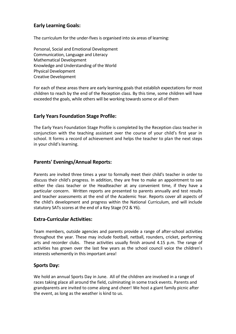# **Early Learning Goals:**

The curriculum for the under-fives is organised into six areas of learning:

Personal, Social and Emotional Development Communication, Language and Literacy Mathematical Development Knowledge and Understanding of the World Physical Development Creative Development

For each of these areas there are early learning goals that establish expectations for most children to reach by the end of the Reception class. By this time, some children will have exceeded the goals, while others will be working towards some or all of them

# **Early Years Foundation Stage Profile:**

The Early Years Foundation Stage Profile is completed by the Reception class teacher in conjunction with the teaching assistant over the course of your child's first year in school. It forms a record of achievement and helps the teacher to plan the next steps in your child's learning.

## **Parents' Evenings/Annual Reports:**

Parents are invited three times a year to formally meet their child's teacher in order to discuss their child's progress. In addition, they are free to make an appointment to see either the class teacher or the Headteacher at any convenient time, if they have a particular concern. Written reports are presented to parents annually and test results and teacher assessments at the end of the Academic Year. Reports cover all aspects of the child's development and progress within the National Curriculum, and will include statutory SATs scores at the end of a Key Stage (Y2 & Y6).

## **Extra-Curricular Activities:**

Team members, outside agencies and parents provide a range of after-school activities throughout the year. These may include football, netball, rounders, cricket, performing arts and recorder clubs. These activities usually finish around 4.15 p.m. The range of activities has grown over the last few years as the school council voice the children's interests vehemently in this important area!

## **Sports Day:**

We hold an annual Sports Day in June. All of the children are involved in a range of races taking place all around the field, culminating in some track events. Parents and grandparents are invited to come along and cheer! We host a giant family picnic after the event, as long as the weather is kind to us.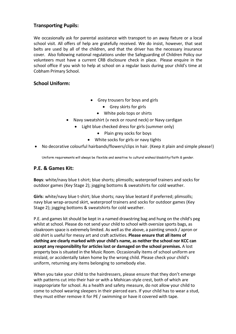# **Transporting Pupils:**

We occasionally ask for parental assistance with transport to an away fixture or a local school visit. All offers of help are gratefully received. We do insist, however, that seat belts are used by all of the children, and that the driver has the necessary insurance cover. Also following national regulations under the Safeguarding of Children Policy our volunteers must have a current CRB disclosure check in place. Please enquire in the school office if you wish to help at school on a regular basis during your child's time at Cobham Primary School.

# **School Uniform:**

- Grey trousers for boys and girls
	- Grey skirts for girls
	- White polo tops or shirts
- Navy sweatshirt (v neck or round neck) or Navy cardigan
	- Light blue checked dress for girls (summer only)
		- Plain grey socks for boys
		- White socks for girls or navy tights
- No decorative colourful hairbands/flowers/clips in hair. (Keep it plain and simple please!)

Uniform requirements will always be flexible and sensitive to cultural wishes/disability/faith & gender.

## **P.E. & Games Kit:**

**Boys**: white/navy blue t-shirt; blue shorts; plimsolls; waterproof trainers and socks for outdoor games (Key Stage 2); jogging bottoms & sweatshirts for cold weather.

**Girls**: white/navy blue t-shirt; blue shorts; navy blue leotard if preferred; plimsolls; navy blue wrap-around skirt, waterproof trainers and socks for outdoor games (Key Stage 2); jogging bottoms & sweatshirts for cold weather.

P.E. and games kit should be kept in a named drawstring bag and hung on the child's peg whilst at school. Please do not send your child to school with oversize sports bags, as cloakroom space is extremely limited. As well as the above, a painting smock / apron or old shirt is useful for messy art and craft activities. **Please ensure that all items of clothing are clearly marked with your child's name, as neither the school nor KCC can accept any responsibility for articles lost or damaged on the school premises.** A lost property box is situated in the Music Room. Occasionally items of school uniform are mislaid, or accidentally taken home by the wrong child. Please check your child's uniform, returning any items belonging to somebody else.

When you take your child to the hairdressers, please ensure that they don't emerge with patterns cut into their hair or with a Mohican-style crest, both of which are inappropriate for school. As a health and safety measure, do not allow your child to come to school wearing sleepers in their pierced ears. If your child has to wear a stud, they must either remove it for PE / swimming or have it covered with tape.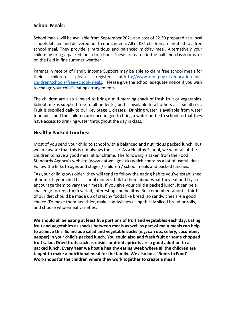# **School Meals:**

School meals will be available from September 2021 at a cost of £2.30 prepared at a local schools kitchen and delivered hot to our canteen. All of KS1 children are entitled to a free school meal. They provide a nutritious and balanced midday meal. Alternatively your child may bring a packed lunch to school. These are eaten in the hall and classrooms, or on the field in fine summer weather.

Parents in receipt of Family Income Support may be able to claim free school meals for their children. please register at [http://www.kent.gov.uk/education-and](http://www.kent.gov.uk/education-and-children/schools/free-school-meals)[children/schools/free-school-meals.](http://www.kent.gov.uk/education-and-children/schools/free-school-meals) Please give the school adequate notice if you wish to change your child's eating arrangements.

The children are also allowed to bring a mid-morning snack of fresh fruit or vegetables. School milk is supplied free to all under-5s, and is available to all others at a small cost. Fruit is supplied daily to our Key Stage 1 classes. Drinking water is available from water fountains, and the children are encouraged to bring a water bottle to school so that they have access to drinking water throughout the day in class.

## **Healthy Packed Lunches:**

Most of you send your child to school with a balanced and nutritious packed lunch, but we are aware that this is not always the case. As a Healthy School, we want all of the children to have a good meal at lunchtime. The following is taken from the Food Standards Agency's website (www.eatwell.gov.uk) which contains a lot of useful ideas. Follow the links to ages and stages / children / school meals and packed lunches:

"As your child grows older, they will tend to follow the eating habits you've established at home. If your child has school dinners, talk to them about what they eat and try to encourage them to vary their meals. If you give your child a packed lunch, it can be a challenge to keep them varied, interesting and healthy. But remember, about a third of our diet should be made up of starchy foods like bread, so sandwiches are a good choice. To make them healthier, make sandwiches using thickly sliced bread or rolls, and choose wholemeal varieties.

**We should all be eating at least five portions of fruit and vegetables each day. Eating fruit and vegetables as snacks between meals as well as part of main meals can help to achieve this. So include salad and vegetable sticks (e.g. carrots, celery, cucumber, pepper) in your child's packed lunch. You could also add fresh fruit or some chopped fruit salad. Dried fruits such as raisins or dried apricots are a good addition to a packed lunch. Every Year we host a healthy eating week where all the children are taught to make a nutritional meal for the family. We also host 'Roots to Food' Workshops for the children where they work together to create a meal!**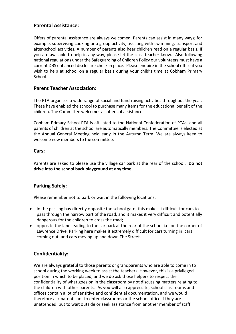# **Parental Assistance:**

Offers of parental assistance are always welcomed. Parents can assist in many ways; for example, supervising cooking or a group activity, assisting with swimming, transport and after-school activities. A number of parents also hear children read on a regular basis. If you are available to help in any way, please let the class teacher know. Also following national regulations under the Safeguarding of Children Policy our volunteers must have a current DBS enhanced disclosure check in place. Please enquire in the school office if you wish to help at school on a regular basis during your child's time at Cobham Primary School.

## **Parent Teacher Association:**

The PTA organises a wide range of social and fund-raising activities throughout the year. These have enabled the school to purchase many items for the educational benefit of the children. The Committee welcomes all offers of assistance.

Cobham Primary School PTA is affiliated to the National Confederation of PTAs, and all parents of children at the school are automatically members. The Committee is elected at the Annual General Meeting held early in the Autumn Term. We are always keen to welcome new members to the committee.

## **Cars:**

Parents are asked to please use the village car park at the rear of the school. **Do not drive into the school back playground at any time.** 

# **Parking Safely:**

Please remember not to park or wait in the following locations:

- in the passing bay directly opposite the school gate; this makes it difficult for cars to pass through the narrow part of the road, and it makes it very difficult and potentially dangerous for the children to cross the road;
- opposite the lane leading to the car park at the rear of the school i.e. on the corner of Lawrence Drive. Parking here makes it extremely difficult for cars turning in, cars coming out, and cars moving up and down The Street.

## **Confidentiality:**

We are always grateful to those parents or grandparents who are able to come in to school during the working week to assist the teachers. However, this is a privileged position in which to be placed, and we do ask those helpers to respect the confidentiality of what goes on in the classroom by not discussing matters relating to the children with other parents. As you will also appreciate, school classrooms and offices contain a lot of sensitive and confidential documentation, and we would therefore ask parents not to enter classrooms or the school office if they are unattended, but to wait outside or seek assistance from another member of staff.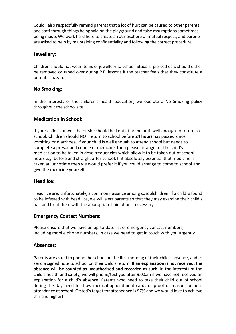Could I also respectfully remind parents that a lot of hurt can be caused to other parents and staff through things being said on the playground and false assumptions sometimes being made. We work hard here to create an atmosphere of mutual respect, and parents are asked to help by maintaining confidentiality and following the correct procedure.

## **Jewellery:**

Children should not wear items of jewellery to school. Studs in pierced ears should either be removed or taped over during P.E. lessons if the teacher feels that they constitute a potential hazard.

## **No Smoking:**

In the interests of the children's health education, we operate a No Smoking policy throughout the school site.

## **Medication in School:**

If your child is unwell, he or she should be kept at home until well enough to return to school. Children should NOT return to school before **24 hours** has passed since vomiting or diarrhoea. If your child is well enough to attend school but needs to complete a prescribed course of medicine, then please arrange for the child's medication to be taken in dose frequencies which allow it to be taken out of school hours e.g. before and straight after school. If it absolutely essential that medicine is taken at lunchtime then we would prefer it if you could arrange to come to school and give the medicine yourself.

### **Headlice:**

Head lice are, unfortunately, a common nuisance among schoolchildren. If a child is found to be infested with head lice, we will alert parents so that they may examine their child's hair and treat them with the appropriate hair lotion if necessary.

### **Emergency Contact Numbers:**

Please ensure that we have an up-to-date list of emergency contact numbers, including mobile phone numbers, in case we need to get in touch with you urgently

### **Absences:**

Parents are asked to phone the school on the first morning of their child's absence, and to send a signed note to school on their child's return. **If an explanation is not received, the absence will be counted as unauthorised and recorded as such.** In the interests of the child's health and safety, we will phone/text you after 9.00am if we have not received an explanation for a child's absence. Parents who need to take their child out of school during the day need to show medical appointment cards or proof of reason for nonattendance at school. Ofsted's target for attendance is 97% and we would love to achieve this and higher!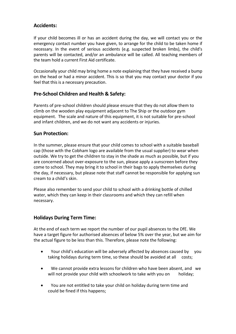## **Accidents:**

If your child becomes ill or has an accident during the day, we will contact you or the emergency contact number you have given, to arrange for the child to be taken home if necessary. In the event of serious accidents (e.g. suspected broken limbs), the child's parents will be contacted, and/or an ambulance will be called. All teaching members of the team hold a current First Aid certificate.

Occasionally your child may bring home a note explaining that they have received a bump on the head or had a minor accident. This is so that you may contact your doctor if you feel that this is a necessary precaution.

# **Pre-School Children and Health & Safety:**

Parents of pre-school children should please ensure that they do not allow them to climb on the wooden play equipment adjacent to The Ship or the outdoor gym equipment. The scale and nature of this equipment, it is not suitable for pre-school and infant children, and we do not want any accidents or injuries.

## **Sun Protection:**

In the summer, please ensure that your child comes to school with a suitable baseball cap (those with the Cobham logo are available from the usual supplier) to wear when outside. We try to get the children to stay in the shade as much as possible, but if you are concerned about over-exposure to the sun, please apply a sunscreen before they come to school. They may bring it to school in their bags to apply themselves during the day, if necessary, but please note that staff cannot be responsible for applying sun cream to a child's skin.

Please also remember to send your child to school with a drinking bottle of chilled water, which they can keep in their classrooms and which they can refill when necessary.

## **Holidays During Term Time:**

At the end of each term we report the number of our pupil absences to the DfE. We have a target figure for authorised absences of below 5% over the year, but we aim for the actual figure to be less than this. Therefore, please note the following:

- Your child's education will be adversely affected by absences caused by you taking holidays during term time, so these should be avoided at all costs;
- We cannot provide extra lessons for children who have been absent, and we will not provide your child with schoolwork to take with you on holiday;
- You are not entitled to take your child on holiday during term time and could be fined if this happens;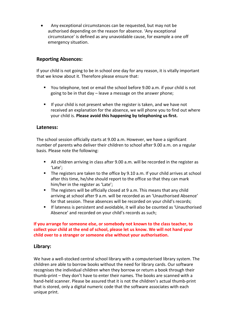• Any exceptional circumstances can be requested, but may not be authorised depending on the reason for absence. 'Any exceptional circumstance' is defined as any unavoidable cause, for example a one off emergency situation.

## **Reporting Absences:**

If your child is not going to be in school one day for any reason, it is vitally important that we know about it. Therefore please ensure that:

- You telephone, text or email the school before 9.00 a.m. if your child is not going to be in that day – leave a message on the answer phone;
- $\blacksquare$  If your child is not present when the register is taken, and we have not received an explanation for the absence, we will phone you to find out where your child is. **Please avoid this happening by telephoning us first.**

### **Lateness:**

The school session officially starts at 9.00 a.m. However, we have a significant number of parents who deliver their children to school after 9.00 a.m. on a regular basis. Please note the following:

- All children arriving in class after 9.00 a.m. will be recorded in the register as 'Late';
- The registers are taken to the office by 9.10 a.m. If your child arrives at school after this time, he/she should report to the office so that they can mark him/her in the register as 'Late';
- The registers will be officially closed at 9 a.m. This means that any child arriving at school after 9 a.m. will be recorded as an 'Unauthorised Absence' for that session. These absences will be recorded on your child's records;
- If lateness is persistent and avoidable, it will also be counted as 'Unauthorised Absence' and recorded on your child's records as such;

### **If you arrange for someone else, or somebody not known to the class teacher, to collect your child at the end of school, please let us know. We will not hand your child over to a stranger or someone else without your authorisation.**

## **Library:**

We have a well-stocked central school library with a computerised library system. The children are able to borrow books without the need for library cards. Our software recognises the individual children when they borrow or return a book through their thumb-print – they don't have to enter their names. The books are scanned with a hand-held scanner. Please be assured that it is not the children's actual thumb-print that is stored, only a digital numeric code that the software associates with each unique print.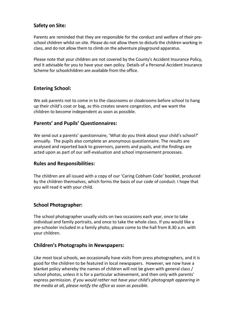# **Safety on Site:**

Parents are reminded that they are responsible for the conduct and welfare of their preschool children whilst on site. Please do not allow them to disturb the children working in class, and do not allow them to climb on the adventure playground apparatus.

Please note that your children are not covered by the County's Accident Insurance Policy, and it advisable for you to have your own policy. Details of a Personal Accident Insurance Scheme for schoolchildren are available from the office.

# **Entering School:**

We ask parents not to come in to the classrooms or cloakrooms before school to hang up their child's coat or bag, as this creates severe congestion, and we want the children to become independent as soon as possible.

## **Parents' and Pupils' Questionnaires:**

We send out a parents' questionnaire, 'What do you think about your child's school?' annually. The pupils also complete an anonymous questionnaire. The results are analysed and reported back to governors, parents and pupils, and the findings are acted upon as part of our self-evaluation and school improvement processes.

## **Rules and Responsibilities:**

The children are all issued with a copy of our 'Caring Cobham Code' booklet, produced by the children themselves, which forms the basis of our code of conduct. I hope that you will read it with your child.

## **School Photographer:**

The school photographer usually visits on two occasions each year, once to take individual and family portraits, and once to take the whole class. If you would like a pre-schooler included in a family photo, please come to the hall from 8.30 a.m. with your children.

## **Children's Photographs in Newspapers:**

Like most local schools, we occasionally have visits from press photographers, and it is good for the children to be featured in local newspapers. However, we now have a blanket policy whereby the names of children will not be given with general class / school photos, unless it is for a particular achievement, and then only with parents' express permission*. If you would rather not have your child's photograph appearing in the media at all, please notify the office as soon as possible.*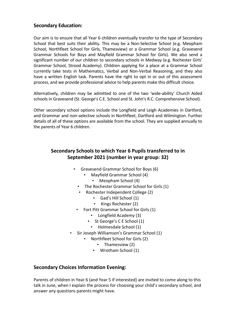## **Secondary Education:**

Our aim is to ensure that all Year 6 children eventually transfer to the type of Secondary School that best suits their ability. This may be a Non-Selective School (e.g. Meopham School, Northfleet School for Girls, Thamesview) or a Grammar School (e.g. Gravesend Grammar Schools for Boys and Mayfield Grammar School for Girls). We also send a significant number of our children to secondary schools in Medway (e.g. Rochester Girls' Grammar School, Strood Academy). Children applying for a place at a Grammar School currently take tests in Mathematics, Verbal and Non-Verbal Reasoning, and they also have a written English task. Parents have the right to opt in or out of this assessment process, and we provide professional advice to help parents make this difficult choice.

Alternatively, children may be admitted to one of the two 'wide-ability' Church Aided schools in Gravesend (St. George's C.E. School and St. John's R.C. Comprehensive School).

Other secondary school options include the Longfield and Leigh Academies in Dartford, and Grammar and non-selective schools in Northfleet, Dartford and Wilmington. Further details of all of these options are available from the school. They are supplied annually to the parents of Year 6 children.

# **Secondary Schools to which Year 6 Pupils transferred to in September 2021 (number in year group: 32)**

- Gravesend Grammar School for Boys (6)
	- Mayfield Grammar School (4)
		- Meopham School (4)
	- The Rochester Grammar School for Girls (1)
	- Rochester Independent College (2)
		- Gad's Hill School (1)
		- Kings Rochester (2)
	- Fort Pitt Grammar School for Girls (1)
		- Longfield Academy (3)
		- St George's C E School (1)
			- Holmesdale School (1)
- Sir Joseph Williamson's Grammar School (1)
	- Northfleet School for Girls (2)
		- Thamesview (2)
		- Wrotham School (1)

# **Secondary Choices Information Evening:**

Parents of children in Year 6 (and Year 5 if interested) are invited to come along to this talk in June, when I explain the process for choosing your child's secondary school, and answer any questions parents might have.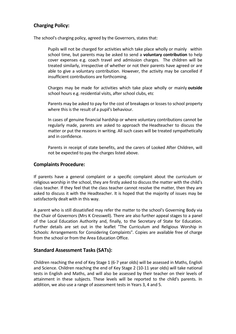# **Charging Policy:**

The school's charging policy, agreed by the Governors, states that:

Pupils will not be charged for activities which take place wholly or mainly within school time, but parents may be asked to send a **voluntary contribution** to help cover expenses e.g. coach travel and admission charges. The children will be treated similarly, irrespective of whether or not their parents have agreed or are able to give a voluntary contribution. However, the activity may be cancelled if insufficient contributions are forthcoming.

Charges may be made for activities which take place wholly or mainly **outside** school hours e.g. residential visits, after school clubs, etc

Parents may be asked to pay for the cost of breakages or losses to school property where this is the result of a pupil's behaviour.

In cases of genuine financial hardship or where voluntary contributions cannot be regularly made, parents are asked to approach the Headteacher to discuss the matter or put the reasons in writing. All such cases will be treated sympathetically and in confidence.

Parents in receipt of state benefits, and the carers of Looked After Children, will not be expected to pay the charges listed above.

## **Complaints Procedure:**

If parents have a general complaint or a specific complaint about the curriculum or religious worship in the school, they are firstly asked to discuss the matter with the child's class teacher. If they feel that the class teacher cannot resolve the matter, then they are asked to discuss it with the Headteacher. It is hoped that the majority of issues may be satisfactorily dealt with in this way.

A parent who is still dissatisfied may refer the matter to the school's Governing Body via the Chair of Governors (Mrs K Cresswell). There are also further appeal stages to a panel of the Local Education Authority and, finally, to the Secretary of State for Education. Further details are set out in the leaflet "The Curriculum and Religious Worship in Schools: Arrangements for Considering Complaints". Copies are available free of charge from the school or from the Area Education Office.

### **Standard Assessment Tasks (SATs):**

Children reaching the end of Key Stage 1 (6-7 year olds) will be assessed in Maths, English and Science. Children reaching the end of Key Stage 2 (10-11 year olds) will take national tests in English and Maths, and will also be assessed by their teacher on their levels of attainment in these subjects. These levels will be reported to the child's parents. In addition, we also use a range of assessment tests in Years 3, 4 and 5.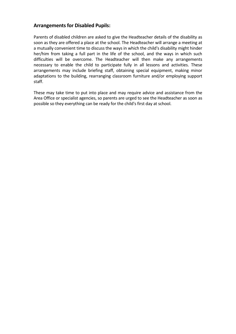## **Arrangements for Disabled Pupils:**

Parents of disabled children are asked to give the Headteacher details of the disability as soon as they are offered a place at the school. The Headteacher will arrange a meeting at a mutually convenient time to discuss the ways in which the child's disability might hinder her/him from taking a full part in the life of the school, and the ways in which such difficulties will be overcome. The Headteacher will then make any arrangements necessary to enable the child to participate fully in all lessons and activities. These arrangements may include briefing staff, obtaining special equipment, making minor adaptations to the building, rearranging classroom furniture and/or employing support staff.

These may take time to put into place and may require advice and assistance from the Area Office or specialist agencies, so parents are urged to see the Headteacher as soon as possible so they everything can be ready for the child's first day at school.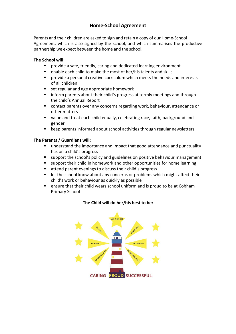# **Home-School Agreement**

Parents and their children are asked to sign and retain a copy of our Home-School Agreement, which is also signed by the school, and which summarises the productive partnership we expect between the home and the school.

### **The School will:**

- provide a safe, friendly, caring and dedicated learning environment
- enable each child to make the most of her/his talents and skills
- provide a personal creative curriculum which meets the needs and interests of all children
- set regular and age appropriate homework
- inform parents about their child's progress at termly meetings and through the child's Annual Report
- contact parents over any concerns regarding work, behaviour, attendance or other matters
- value and treat each child equally, celebrating race, faith, background and gender
- keep parents informed about school activities through regular newsletters

### **The Parents / Guardians will:**

- understand the importance and impact that good attendance and punctuality has on a child's progress
- support the school's policy and guidelines on positive behaviour management
- support their child in homework and other opportunities for home learning
- attend parent evenings to discuss their child's progress
- let the school know about any concerns or problems which might affect their child's work or behaviour as quickly as possible
- ensure that their child wears school uniform and is proud to be at Cobham Primary School

### **The Child will do her/his best to be:**